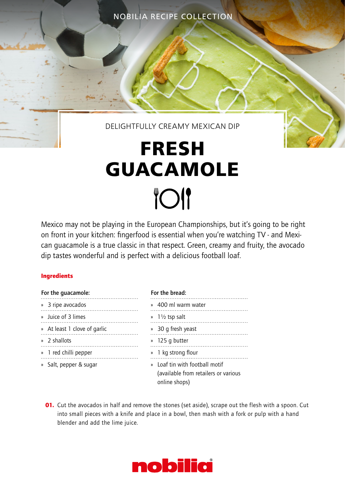NOBILIA RECIPE COLLECTION

### DELIGHTFULLY CREAMY MEXICAN DIP

# **FRESH GUACAMOLE TOI**

Mexico may not be playing in the European Championships, but it's going to be right on front in your kitchen: fingerfood is essential when you're watching TV - and Mexican guacamole is a true classic in that respect. Green, creamy and fruity, the avocado dip tastes wonderful and is perfect with a delicious football loaf.

#### **Ingredients**

| For the quacamole: |                              |
|--------------------|------------------------------|
|                    | » 3 ripe avocados            |
|                    | » Luice of 3 limes           |
|                    | » At least 1 clove of garlic |
|                    | » 2 shallots                 |
|                    | » 1 red chilli pepper        |
|                    | » Salt, pepper & sugar       |
|                    |                              |

## For the bread: » 400 ml warm water » 1½ tsp salt » 30 g fresh yeast » 125 g butter » 1 kg strong flour » Loaf tin with football motif (available from retailers or various online shops)

**01.** Cut the avocados in half and remove the stones (set aside), scrape out the flesh with a spoon. Cut into small pieces with a knife and place in a bowl, then mash with a fork or pulp with a hand blender and add the lime juice.